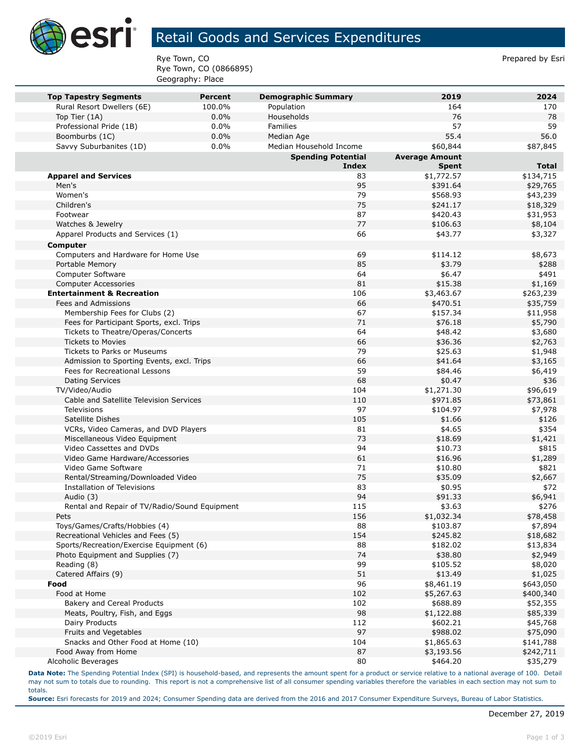

## Retail Goods and Services Expenditures

Rye Town, CO **Prepared by Esri** Prepared by Esri Rye Town, CO (0866895) Geography: Place

|                                                            |                          |                                          | 2019                  | 2024                 |
|------------------------------------------------------------|--------------------------|------------------------------------------|-----------------------|----------------------|
| <b>Top Tapestry Segments</b><br>Rural Resort Dwellers (6E) | <b>Percent</b><br>100.0% | <b>Demographic Summary</b><br>Population | 164                   | 170                  |
| Top Tier (1A)                                              | 0.0%                     | Households                               | 76                    | 78                   |
| Professional Pride (1B)                                    | 0.0%                     | <b>Families</b>                          | 57                    | 59                   |
| Boomburbs (1C)                                             | 0.0%                     | Median Age                               | 55.4                  | 56.0                 |
| Savvy Suburbanites (1D)                                    | 0.0%                     | Median Household Income                  | \$60,844              | \$87,845             |
|                                                            |                          | <b>Spending Potential</b>                | <b>Average Amount</b> |                      |
|                                                            |                          | Index                                    | <b>Spent</b>          | <b>Total</b>         |
| <b>Apparel and Services</b>                                |                          | 83                                       | \$1,772.57            | \$134,715            |
| Men's                                                      |                          | 95                                       | \$391.64              | \$29,765             |
| Women's                                                    |                          | 79                                       | \$568.93              | \$43,239             |
| Children's                                                 |                          | 75                                       | \$241.17              | \$18,329             |
| Footwear                                                   |                          | 87                                       | \$420.43              | \$31,953             |
| Watches & Jewelry                                          |                          | 77                                       | \$106.63              | \$8,104              |
| Apparel Products and Services (1)                          |                          | 66                                       | \$43.77               | \$3,327              |
| Computer                                                   |                          |                                          |                       |                      |
| Computers and Hardware for Home Use                        |                          | 69                                       | \$114.12              | \$8,673              |
| Portable Memory                                            |                          | 85                                       | \$3.79                | \$288                |
| Computer Software                                          |                          | 64                                       | \$6.47                | \$491                |
| <b>Computer Accessories</b>                                |                          | 81                                       | \$15.38               | \$1,169              |
| <b>Entertainment &amp; Recreation</b>                      |                          | 106                                      | \$3,463.67            | \$263,239            |
| Fees and Admissions                                        |                          | 66                                       | \$470.51              | \$35,759             |
| Membership Fees for Clubs (2)                              |                          | 67                                       | \$157.34              | \$11,958             |
| Fees for Participant Sports, excl. Trips                   |                          | 71                                       | \$76.18               | \$5,790              |
| Tickets to Theatre/Operas/Concerts                         |                          | 64                                       | \$48.42               | \$3,680              |
| <b>Tickets to Movies</b>                                   |                          | 66                                       | \$36.36               | \$2,763              |
| Tickets to Parks or Museums                                |                          | 79                                       | \$25.63               | \$1,948              |
| Admission to Sporting Events, excl. Trips                  |                          | 66                                       | \$41.64               | \$3,165              |
| Fees for Recreational Lessons                              |                          | 59                                       | \$84.46               | \$6,419              |
| <b>Dating Services</b>                                     |                          | 68                                       | \$0.47                | \$36                 |
| TV/Video/Audio                                             |                          | 104                                      | \$1,271.30            | \$96,619             |
| Cable and Satellite Television Services                    |                          | 110                                      | \$971.85              | \$73,861             |
| Televisions                                                |                          | 97                                       | \$104.97              | \$7,978              |
| Satellite Dishes                                           |                          | 105                                      | \$1.66                | \$126                |
| VCRs, Video Cameras, and DVD Players                       |                          | 81                                       | \$4.65                | \$354                |
| Miscellaneous Video Equipment                              |                          | 73                                       | \$18.69               | \$1,421              |
| Video Cassettes and DVDs                                   |                          | 94                                       | \$10.73               | \$815                |
| Video Game Hardware/Accessories                            |                          | 61                                       | \$16.96               | \$1,289              |
| Video Game Software                                        |                          | 71                                       | \$10.80               | \$821                |
| Rental/Streaming/Downloaded Video                          |                          | 75                                       | \$35.09               | \$2,667              |
| <b>Installation of Televisions</b>                         |                          | 83                                       | \$0.95                | \$72                 |
| Audio (3)                                                  |                          | 94                                       | \$91.33               | \$6,941              |
| Rental and Repair of TV/Radio/Sound Equipment              |                          | 115                                      | \$3.63                | \$276                |
| Pets                                                       |                          | 156                                      | \$1,032.34            | \$78,458             |
| Toys/Games/Crafts/Hobbies (4)                              |                          | 88                                       | \$103.87              | \$7,894              |
| Recreational Vehicles and Fees (5)                         |                          | 154                                      | \$245.82              | \$18,682             |
| Sports/Recreation/Exercise Equipment (6)                   |                          | 88<br>74                                 | \$182.02              | \$13,834             |
| Photo Equipment and Supplies (7)                           |                          |                                          | \$38.80               | \$2,949              |
| Reading (8)                                                |                          | 99<br>51                                 | \$105.52              | \$8,020              |
| Catered Affairs (9)<br>Food                                |                          | 96                                       | \$13.49<br>\$8,461.19 | \$1,025<br>\$643,050 |
| Food at Home                                               |                          | 102                                      | \$5,267.63            | \$400,340            |
| Bakery and Cereal Products                                 |                          | 102                                      | \$688.89              |                      |
| Meats, Poultry, Fish, and Eggs                             |                          | 98                                       | \$1,122.88            | \$52,355<br>\$85,339 |
| Dairy Products                                             |                          | 112                                      | \$602.21              | \$45,768             |
| Fruits and Vegetables                                      |                          | 97                                       | \$988.02              | \$75,090             |
| Snacks and Other Food at Home (10)                         |                          | 104                                      | \$1,865.63            | \$141,788            |
| Food Away from Home                                        |                          | 87                                       | \$3,193.56            | \$242,711            |
| Alcoholic Beverages                                        |                          | 80                                       | \$464.20              | \$35,279             |
|                                                            |                          |                                          |                       |                      |

**Data Note:** The Spending Potential Index (SPI) is household-based, and represents the amount spent for a product or service relative to a national average of 100. Detail may not sum to totals due to rounding. This report is not a comprehensive list of all consumer spending variables therefore the variables in each section may not sum to totals.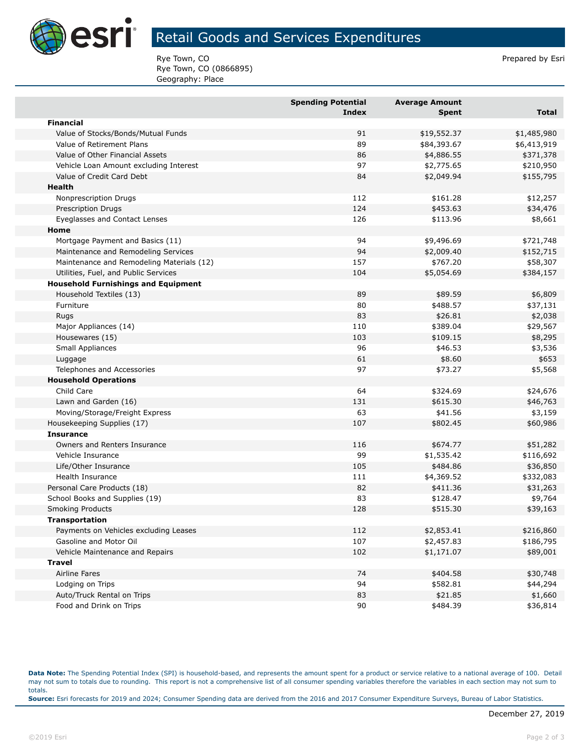

## Retail Goods and Services Expenditures

Rye Town, CO **Prepared by Esri** Prepared by Esri Rye Town, CO (0866895) Geography: Place

|                                            | <b>Spending Potential</b><br>Index | <b>Average Amount</b><br>Spent | <b>Total</b> |
|--------------------------------------------|------------------------------------|--------------------------------|--------------|
| <b>Financial</b>                           |                                    |                                |              |
| Value of Stocks/Bonds/Mutual Funds         | 91                                 | \$19,552.37                    | \$1,485,980  |
| Value of Retirement Plans                  | 89                                 | \$84,393.67                    | \$6,413,919  |
| Value of Other Financial Assets            | 86                                 | \$4,886.55                     | \$371,378    |
| Vehicle Loan Amount excluding Interest     | 97                                 | \$2,775.65                     | \$210,950    |
| Value of Credit Card Debt                  | 84                                 | \$2,049.94                     | \$155,795    |
| Health                                     |                                    |                                |              |
| Nonprescription Drugs                      | 112                                | \$161.28                       | \$12,257     |
| <b>Prescription Drugs</b>                  | 124                                | \$453.63                       | \$34,476     |
| Eyeglasses and Contact Lenses              | 126                                | \$113.96                       | \$8,661      |
| Home                                       |                                    |                                |              |
| Mortgage Payment and Basics (11)           | 94                                 | \$9,496.69                     | \$721,748    |
| Maintenance and Remodeling Services        | 94                                 | \$2,009.40                     | \$152,715    |
| Maintenance and Remodeling Materials (12)  | 157                                | \$767.20                       | \$58,307     |
| Utilities, Fuel, and Public Services       | 104                                | \$5,054.69                     | \$384,157    |
| <b>Household Furnishings and Equipment</b> |                                    |                                |              |
| Household Textiles (13)                    | 89                                 | \$89.59                        | \$6,809      |
| Furniture                                  | 80                                 | \$488.57                       | \$37,131     |
| Rugs                                       | 83                                 | \$26.81                        | \$2,038      |
| Major Appliances (14)                      | 110                                | \$389.04                       | \$29,567     |
| Housewares (15)                            | 103                                | \$109.15                       | \$8,295      |
| Small Appliances                           | 96                                 | \$46.53                        | \$3,536      |
| Luggage                                    | 61                                 | \$8.60                         | \$653        |
| Telephones and Accessories                 | 97                                 | \$73.27                        | \$5,568      |
| <b>Household Operations</b>                |                                    |                                |              |
| Child Care                                 | 64                                 | \$324.69                       | \$24,676     |
| Lawn and Garden (16)                       | 131                                | \$615.30                       | \$46,763     |
| Moving/Storage/Freight Express             | 63                                 | \$41.56                        | \$3,159      |
| Housekeeping Supplies (17)                 | 107                                | \$802.45                       | \$60,986     |
| <b>Insurance</b>                           |                                    |                                |              |
| Owners and Renters Insurance               | 116                                | \$674.77                       | \$51,282     |
| Vehicle Insurance                          | 99                                 | \$1,535.42                     | \$116,692    |
| Life/Other Insurance                       | 105                                | \$484.86                       | \$36,850     |
| Health Insurance                           | 111                                | \$4,369.52                     | \$332,083    |
| Personal Care Products (18)                | 82                                 | \$411.36                       | \$31,263     |
| School Books and Supplies (19)             | 83                                 | \$128.47                       | \$9,764      |
| <b>Smoking Products</b>                    | 128                                | \$515.30                       | \$39,163     |
| <b>Transportation</b>                      |                                    |                                |              |
| Payments on Vehicles excluding Leases      | 112                                | \$2,853.41                     | \$216,860    |
| Gasoline and Motor Oil                     | 107                                | \$2,457.83                     | \$186,795    |
| Vehicle Maintenance and Repairs            | 102                                | \$1,171.07                     | \$89,001     |
| <b>Travel</b>                              |                                    |                                |              |
| Airline Fares                              | 74                                 | \$404.58                       | \$30,748     |
| Lodging on Trips                           | 94                                 | \$582.81                       | \$44,294     |
| Auto/Truck Rental on Trips                 | 83                                 | \$21.85                        | \$1,660      |
| Food and Drink on Trips                    | 90                                 | \$484.39                       | \$36,814     |

**Data Note:** The Spending Potential Index (SPI) is household-based, and represents the amount spent for a product or service relative to a national average of 100. Detail may not sum to totals due to rounding. This report is not a comprehensive list of all consumer spending variables therefore the variables in each section may not sum to totals. **Source:** Esri forecasts for 2019 and 2024; Consumer Spending data are derived from the 2016 and 2017 Consumer Expenditure Surveys, Bureau of Labor Statistics.